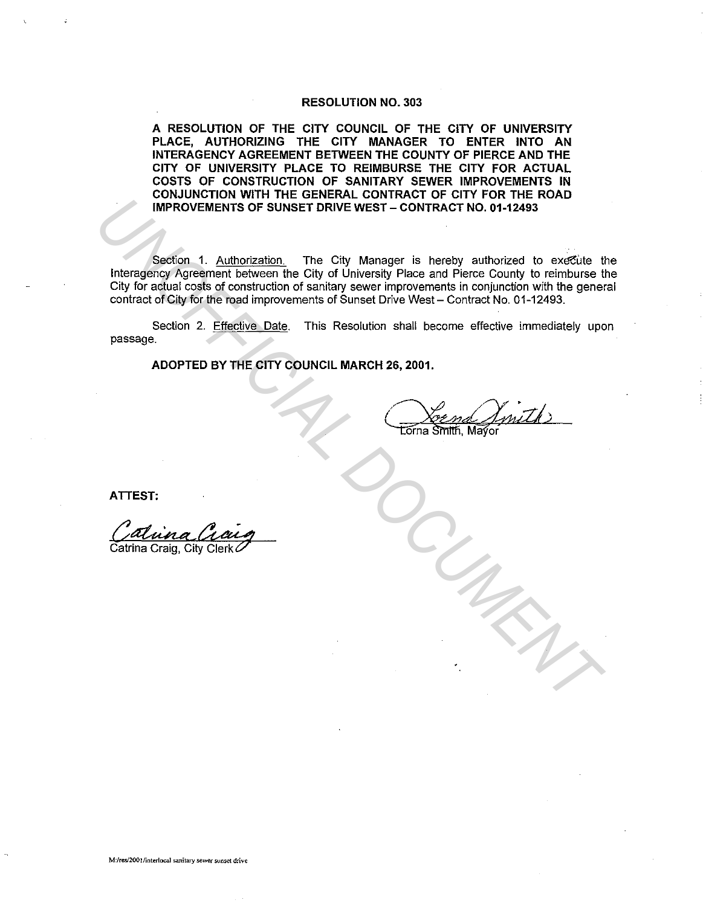#### RESOLUTION NO. 303

A RESOLUTION OF THE CITY COUNCIL OF THE CITY OF UNIVERSITY PLACE, AUTHORIZING THE CITY MANAGER TO ENTER INTO AN INTERAGENCY AGREEMENT BETWEEN THE COUNTY OF PIERCE AND THE CITY OF UNIVERSITY PLACE TO REIMBURSE THE CITY FOR ACTUAL COSTS OF CONSTRUCTION OF SANITARY SEWER IMPROVEMENTS IN CONJUNCTION WITH THE GENERAL CONTRACT OF CITY FOR THE ROAD IMPROVEMENTS OF SUNSET DRIVE WEST - CONTRACT NO. 01-12493

Section 1. Authorization. The City Manager is hereby authorized to execute the lnteragency Agreement between the City of University Place and Pierce County to reimburse the City for actual costs of construction of sanitary sewer improvements in conjunction with the general contract of City for the road improvements of Sunset Drive West- Contract No. 01-12493. **UNDECONDENTAITS OF SUNSET DRIVE WEST - CONTRACT NO. 01-12433<br>
Interagrency Agreement between the City of University Place and Pierce County to reimburse US of Contract of City for the read improvements of Sunset Drive Wes** 

Section 2. Effective Date. This Resolution shall become effective immediately upon passage.

ADOPTED BY THE CITY COUNCIL MARCH 26, 2001.

ATTEST:

Catrina Craig, City Clerk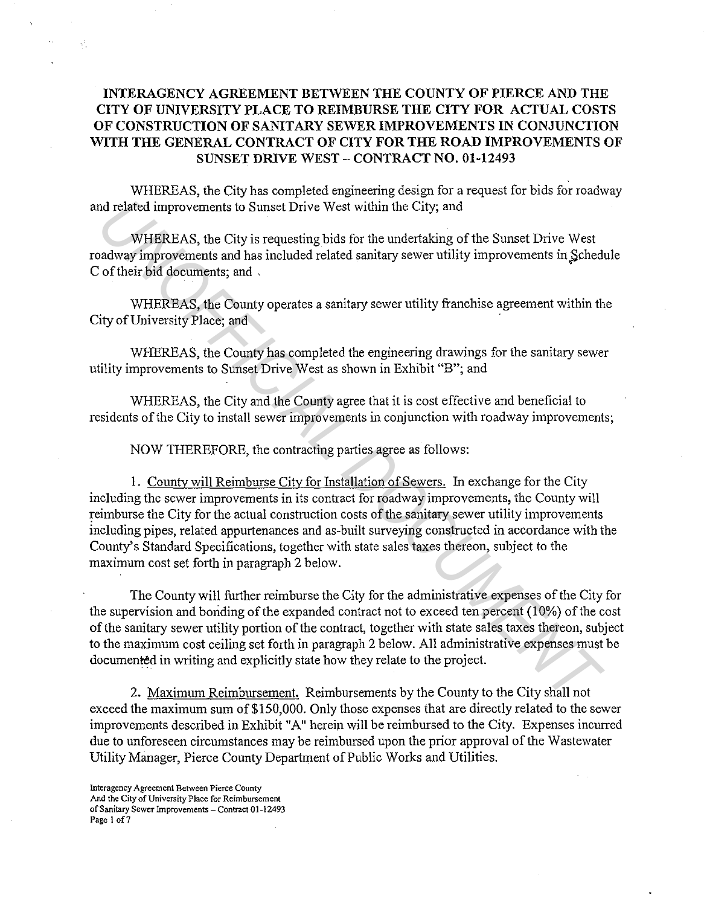## **INTERAGENCY AGREEMENT BETWEEN THE COUNTY OF PIERCE AND THE CITY OF UNIVERSITY PLACE TO REIMBURSE THE CITY FOR ACTUAL COSTS OF CONSTRUCTION OF SANITARY SEWER IMPROVEMENTS IN CONJUNCTION WITH THE GENERAL CONTRACT OF CITY FOR THE ROAD IMPROVEMENTS OF SUNSET DRIVE WEST - CONTRACT NO. 01-12493**

WHEREAS, the City has completed engineering design for a request for bids for roadway and related improvements to Sunset Drive West within the City; and

WHEREAS, the City is requesting bids for the undertaking of the Sunset Drive West roadway improvements and has included related sanitary sewer utility improvements in Schedule C of their bid documents; and ,

WHEREAS, the County operates a sanitary sewer utility franchise agreement within the City of University Place; and

WHEREAS, the County has completed the engineering drawings for the sanitary sewer utility improvements to Sunset Drive West as shown in Exhibit "B"; and

WHEREAS, the City and the County agree that it is cost effective and beneficial to residents of the City to install sewer improvements in conjunction with roadway improvements;

NOW THEREFORE, the contracting parties agree as follows:

**1.** County will Reimburse City for Installation of Sewers. In exchange for the City including the sewer improvements in its contract for roadway improvements, the County will reimburse the City for the actual construction costs of the sanitary sewer utility improvements including pipes, related appurtenances and as-built surveying constructed in accordance with the County's Standard Specifications, together with state sales taxes thereon, subject to the maximum cost set forth in paragraph 2 below. *M* related improvements to Sunset Drive West within the City, and<br> **WHEREAS**, the City is requesting bids for the undertaking of the Sunset Drive West<br>
andway improvements and has included related anitary sewer utility im

The County will further reimburse the City for the administrative expenses of the City for the supervision and bonding of the expanded contract not to exceed ten percent (10%) of the cost of the sanitary sewer utility portion of the contract, together with state sales taxes thereon, subject to the maximum cost ceiling set forth in paragraph 2 below. All administrative expenses must be documented in writing and explicitly state how they relate to the project.

2. Maximum Reimbursement. Reimbursements by the County to the City shall not exceed the maximum sum of \$150,000. Only those expenses that are directly related to the sewer improvements described in Exhibit "A" herein will be reimbursed to the City. Expenses incurred due to unforeseen circumstances may be reimbursed upon the prior approval of the Wastewater Utility Manager, Pierce County Department of Public Works and Utilities.

 $\mathcal{L}^{\mathcal{I}}$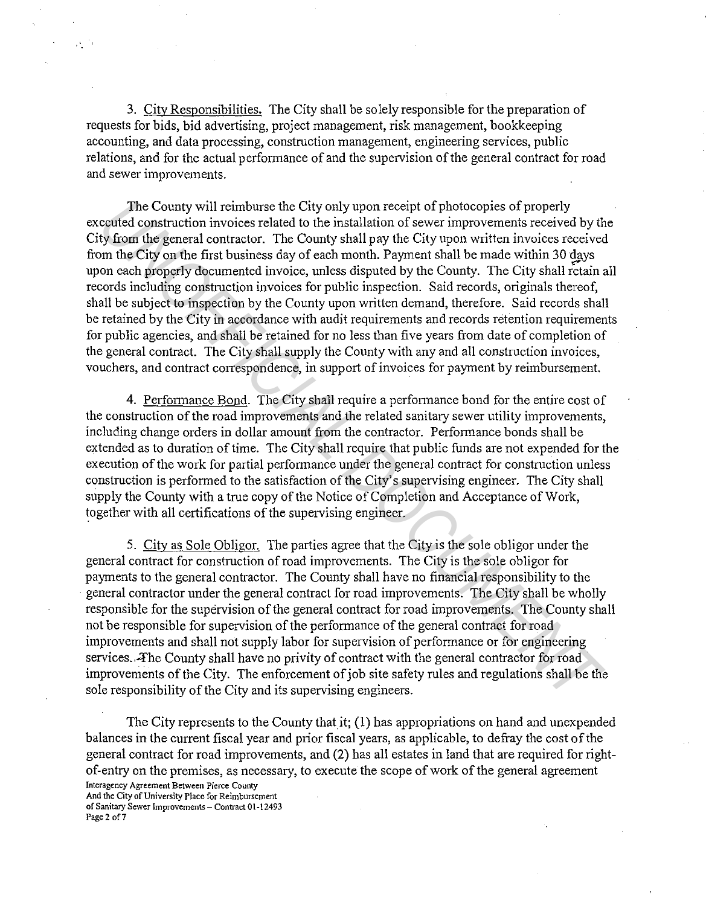3. City Responsibilities. The City shall be solely responsible for the preparation of requests for bids, bid advertising, project management, risk management, bookkeeping accounting, and data processing, construction management, engineering services, public relations, and for the actual performance of and the supervision of the general contract for road and sewer improvements.

The County will reimburse the City only upon receipt of photocopies of properly executed construction invoices related to the installation of sewer improvements received by the City from the general contractor. The County shall pay the City upon written invoices received from the City on the first business day of each month. Payment shall be made within 30 days upon each properly documented invoice, unless disputed by the County. The City shall retain all records including construction invoices for public inspection. Said records, originals thereof, shall be subject to inspection by the County upon written demand, therefore. Said records shall be retained by the City in accordance with audit requirements and records retention requirements for public agencies, and shall be retained for no less than five years from date of completion of the general contract. The City shall supply the County with any and all construction invoices, vouchers, and contract correspondence, in support of invoices for payment by reimbursement. The County will reimburse the City only upon receipt of photocopies of properly<br>contective donstruction invoices related to the installation of sever improvements received by the<br>origin of content of this thus mest of ded

4. Performance Bond. The City shall require a performance bond for the entire cost of the construction of the road improvements and the related sanitary sewer utility improvements, including change orders in dollar amount from the contractor. Performance bonds shall be extended as to duration of time. The City shall require that public funds are not expended for the execution of the work for partial performance under the general contract for construction unless construction is performed to the satisfaction of the City's supervising engineer. The City shall supply the County with a true copy of the Notice of Completion and Acceptance of Work, together with all certifications of the supervising engineer.

5. City as Sole Obligor. The parties agree that the City is the sole obligor under the general contract for construction of road improvements. The City is the sole obligor for payments to the general contractor. The County shall have no financial responsibility to the general contractor under the general contract for road improvements. The City shall be wholly responsible for the supervision of the general contract for road improvements. The County shall not be responsible for supervision of the performance of the general contract for road improvements and shall not supply labor for supervision of performance or for engineering services. The County shall have no privity of contract with the general contractor for road improvements of the City. The enforcement of job site safety rules and regulations shall be the sole responsibility of the City and its supervising engineers.

The City represents to the County that it;  $(1)$  has appropriations on hand and unexpended balances in the current fiscal year and prior fiscal years, as applicable, to defray the cost of the general contract for road improvements, and (2) has all estates in land that are required for rightof-entry on the premises, as necessary, to execute the scope of work of the general agreement **Interagency Agreement Between Pierce County** 

**And the City of University Place for Reimbursement of Sanitary Sewer Improvements - Contract 01-12493 Page 2 of7** 

 $\Delta \Sigma^{(2)}$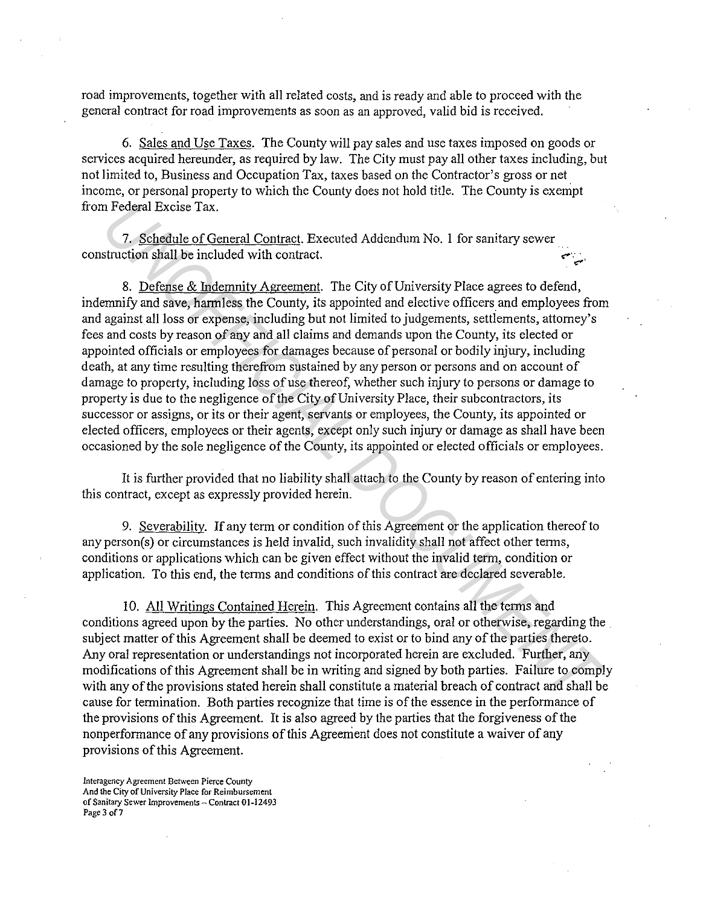road improvements, together with all related costs, and is ready and able to proceed with the general contract for road improvements as soon as an approved, valid bid is received.

6. Sales and Use Taxes. The County will pay sales and use taxes imposed on goods or services acquired hereunder, as required by law. The City must pay all other taxes including, but not limited to, Business and Occupation Tax, taxes based on the Contractor's gross or net income, or personal property to which the County does not hold title. The County is exempt from Federal Excise Tax.

7. Schedule of General Contract. Executed Addendum No. I for sanitary sewer construction shall be included with contract.

8. Defense & Indemnity Agreement. The City of University Place agrees to defend, indemnify and save, harmless the County, its appointed and elective officers and employees from and against all loss or expense, including but not limited to judgements, settlements, attorney's fees and costs by reason of any and all claims and demands upon the County, its elected or appointed officials or employees for damages because of personal or bodily injury, including death, at any time resulting therefrom sustained by any person or persons and on account of damage to property, including loss of use thereof, whether such injury to persons or damage to property is due to the negligence of the City of University Place, their subcontractors, its successor or assigns, or its or their agent, servants or employees, the County, its appointed or elected officers, employees or their agents, except only such injury or damage as shall have been occasioned by the sole negligence of the County, its appointed or elected officials or employees. *T Secheral Excise Tax.*<br>
7. <u>Sehedulc of General Contract</u>. Executed Addendum No. 1 for sanitary sewer<br>
8. <u>Defense & Indemnity Agreenent</u>. The City of University Place agrees to defend,<br>
8. <u>Defense & Indemnity Agreene</u>

It is further provided that no liability shall attach to the County by reason of entering into this contract, except as expressly provided herein.

9. Severability. If any term or condition of this Agreement or the application thereof to any person(s) or circumstances is held invalid, such invalidity shall not affect other terms, conditions or applications which can be given effect without the invalid term, condition or application. To this end, the terms and conditions of this contract are declared severable.

10. All Writings Contained Herein. This Agreement contains all the terms and conditions agreed upon by the parties. No other understandings, oral or otherwise, regarding the subject matter of this Agreement shall be deemed to exist or to bind any of the parties thereto. Any oral representation or understandings not incorporated herein are excluded. Further, any modifications of this Agreement shall be in writing and signed by both parties. Failure to comply with any of the provisions stated herein shall constitute a material breach of contract and shall be cause for termination. Both parties recognize that time is of the essence in the performance of the provisions of this Agreement. It is also agreed by the parties that the forgiveness of the nonperformance of any provisions of this Agreement does not constitute a waiver of any provisions of this Agreement.

**Interagency Agreement Between Pierce County And the City of University Place for Reimbursement of Sanitary Sewer Improvements - Contract 01-12493 Page 3 of7**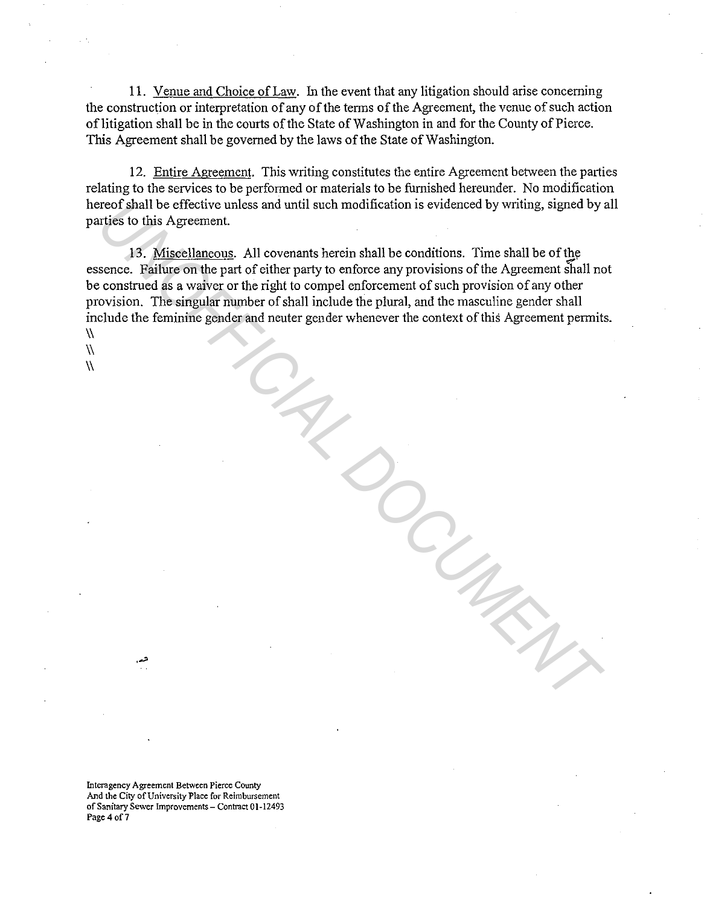11. Venue and Choice of Law. In the event that any litigation should arise concerning the construction or interpretation of any of the terms of the Agreement, the venue of such action of litigation shall be in the courts of the State of Washington in and for the County of Pierce. This Agreement shall be governed by the laws of the State of Washington.

12. Entire Agreement. This writing constitutes the entire Agreement between the parties relating to the services to be performed or materials to be furnished hereunder. No modification hereof shall be effective unless and until such modification is evidenced by writing, signed by all parties to this Agreement.

13. Miscellaneous. All covenants herein shall be conditions. Time shall be of the essence. Failure on the part of either party to enforce any provisions of the Agreement shall not be construed as a waiver or the right to compel enforcement of such provision of any other provision. The singular number of shall include the plural, and the masculine gender shall include the feminine gender and neuter gender whenever the context of this Agreement permits.  $\lambda$ reof shall be effective unless and until such modification is evidenced by writing, signed by virties to this Agreement.<br> **UNOFFICIAL DOCUMENT AND A SECT AND A SECT AND A SECT AND A SECT AND THE CONSTRANS ARE CONSTRANS AND** 

 $\sqrt{ }$  $\lambda$ 

> **Interagency Agreement Between Pierce County And the City of University Place for Reimbursement of Sanitary Sewer Improvements - Contract 01·12493 Page 4 of7**

·-"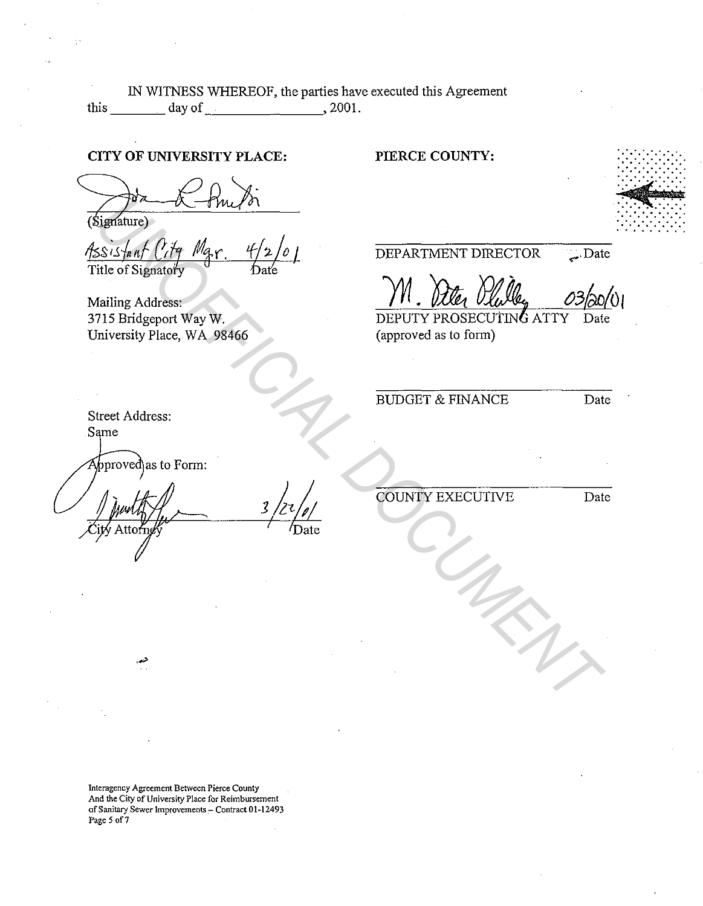IN WITNESS WHEREOF, the parties have executed this Agreement this day of , 2001.

### CITY OF UNIVERSITY PLACE:

Mailing Address: 3715 Bridgeport Way W. University Place, WA 98466

#### PIERCE COUNTY:

..... - - - ........ . . . . . . . . . . . . . . . . . . . . . . . . . . . . . . . . . . ·.·.·~··.·.·.·.·.· . . . . . .... . . . ~Ii+ . . . . ... . . . . . . . . . . . . . . . . . . . . . . . . . . . . . . . . . . . . . . . . . . . . . . . . . . .

DEPARTMENT DIRECTOR Date

M. Ale Plale 03/20/01

(approved as to form)

BUDGET & FINANCE Date

Street Address: Same

pproved\as to Form:

Expansive of the state of the state of the state of the state of the state of the state of the state of the state of the state of the state of the state of the state of the state of the state of the state of the state of

COUNTY EXECUTNE Date

Interagency Agreement Between Pierce County And the City of University Place for Reimbursement of Sanitary Sewer Improvements - Contract 01-12493 Page 5 of 7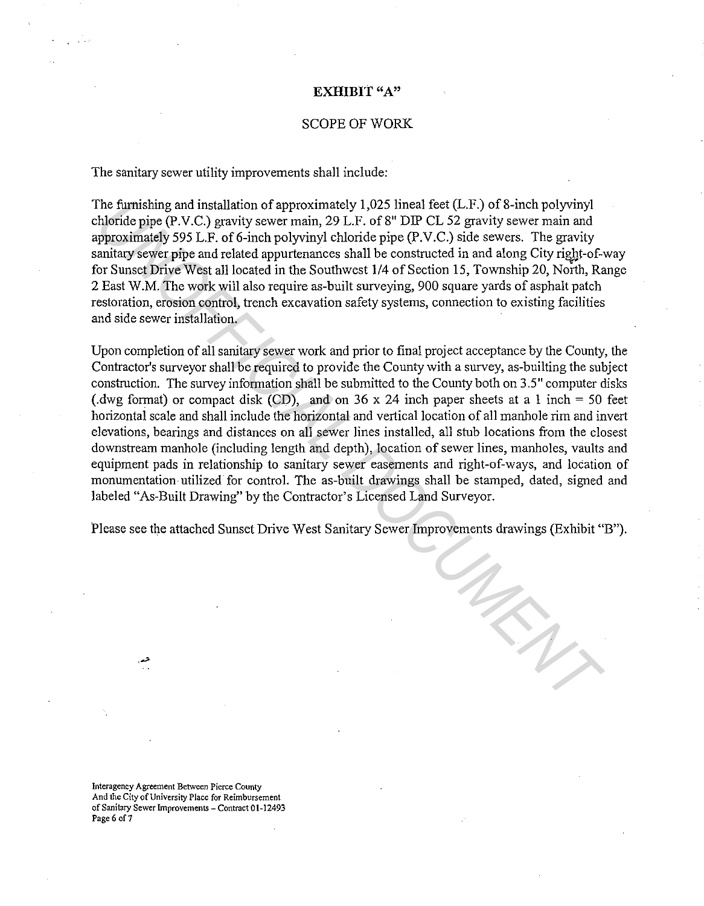#### **EXHIBIT** "A"

#### SCOPE OF WORK

The sanitary sewer utility improvements shall include:

The furnishing and installation of approximately 1,025 lineal feet  $(L.F.)$  of 8-inch polyvinyl chloride pipe (P.V.C.) gravity sewer main, 29 L.F. of 8" DIP CL 52 gravity sewer main and approximately 595 L.F. of 6-inch polyvinyl chloride pipe  $(P.V.C.)$  side sewers. The gravity sanitary sewer pipe and related appurtenances shall be constructed in and along City right-of-way for Sunset Drive West all located in the Southwest 1/4 of Section 15, Township 20, North, Range 2 East W.M. The work will also require as-built surveying, 900 square yards of asphalt patch restoration, erosion control, trench excavation safety systems, connection to existing facilities and side sewer installation.

Upon completion of all sanitary sewer work and prior to final project acceptance by the County, the Contractor's surveyor shall be required to provide the County with a survey, as-builting the subject construction. The survey information shall be submitted to the County both on 3.5" computer disks (.dwg format) or compact disk (CD), and on 36 x 24 inch paper sheets at a 1 inch = 50 feet horizontal scale and shall include the horizontal and vertical location of all manhole rim and invert elevations, bearings and distances on all sewer lines installed, all stub locations from the closest downstream manhole (including length and depth), location of sewer lines, manholes, vaults and equipment pads in relationship to sanitary sewer easements and right-of-ways, and location of monumentation utilized for control. The as-built drawings shall be stamped, dated, signed and labeled "As-Built Drawing" by the Contractor's Licensed Land Surveyor. The furnishing and installation of approximately 1,025 limel feet  $(L, F_1)$  of 8-inch polyvinyl<br>althordes pie (P.V.C.) gravity sever main, 29 L.F. of 8° DIP CL 52 gravity sever main and<br>hordes pie (P.V.C.) gravity sever mai

Please see the attached Sunset Drive West Sanitary Sewer Improvements drawings (Exhibit "B").

**Interagency Agreement Between Pierce County And the City of University Place for Reimbursement of Sanitary Sewer Improvements - Contract 01-12493 Page 6 of7**